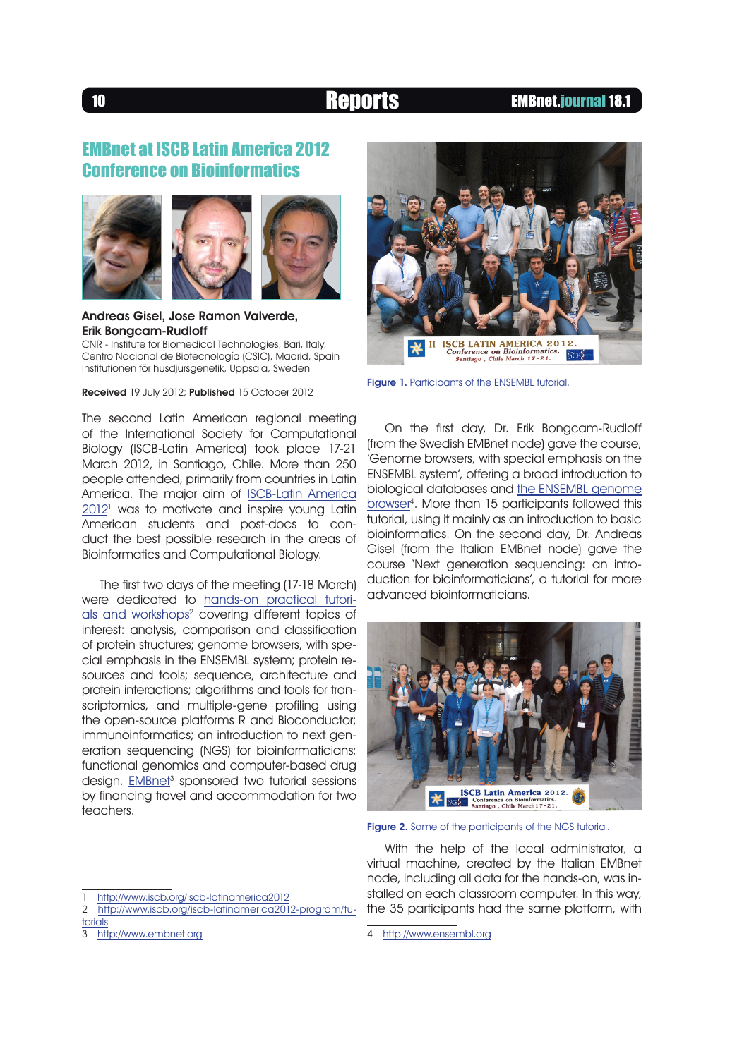### <sup>10</sup> Reports EMBnet.journal 18.1

# EMBnet at ISCB Latin America 2012 Conference on Bioinformatics



Andreas Gisel, Jose Ramon Valverde, Erik Bongcam-Rudloff CNR - Institute for Biomedical Technologies, Bari, Italy,

Centro Nacional de Biotecnología (CSIC), Madrid, Spain Institutionen för husdjursgenetik, Uppsala, Sweden

Received 19 July 2012; Published 15 October 2012

The second Latin American regional meeting of the International Society for Computational Biology (ISCB-Latin America) took place 17-21 March 2012, in Santiago, Chile. More than 250 people attended, primarily from countries in Latin America. The major aim of [ISCB-Latin America](http://www.iscb.org/iscb-latinamerica2012)  $2012$ <sup>1</sup> was to motivate and inspire young Latin American students and post-docs to conduct the best possible research in the areas of Bioinformatics and Computational Biology.

The first two days of the meeting (17-18 March) were dedicated to [hands-on practical tutori](http://www.iscb.org/iscb-latinamerica2012-program/tutorials)als and workshops<sup>2</sup> covering different topics of interest: analysis, comparison and classification of protein structures; genome browsers, with special emphasis in the ENSEMBL system; protein resources and tools; sequence, architecture and protein interactions; algorithms and tools for transcriptomics, and multiple-gene profiling using the open-source platforms R and Bioconductor; immunoinformatics; an introduction to next generation sequencing (NGS) for bioinformaticians; functional genomics and computer-based drug design. **[EMBnet](http://www.embnet.org)<sup>3</sup> sponsored two tutorial sessions** by financing travel and accommodation for two teachers.



- 2 http://www.iscb.org/iscb-latinamerica2012-program/tutorials
- 3 <http://www.embnet.org>



Figure 1. Participants of the ENSEMBL tutorial.

On the first day, Dr. Erik Bongcam-Rudloff (from the Swedish EMBnet node) gave the course, 'Genome browsers, with special emphasis on the ENSEMBL system', offering a broad introduction to biological databases and [the ENSEMBL genome](http://www.ensembl.org) browser<sup>4</sup>. More than 15 participants followed this tutorial, using it mainly as an introduction to basic bioinformatics. On the second day, Dr. Andreas Gisel (from the Italian EMBnet node) gave the course 'Next generation sequencing: an introduction for bioinformaticians', a tutorial for more advanced bioinformaticians.



Figure 2. Some of the participants of the NGS tutorial.

With the help of the local administrator, a virtual machine, created by the Italian EMBnet node, including all data for the hands-on, was installed on each classroom computer. In this way, the 35 participants had the same platform, with

<sup>4</sup> <http://www.ensembl.org>